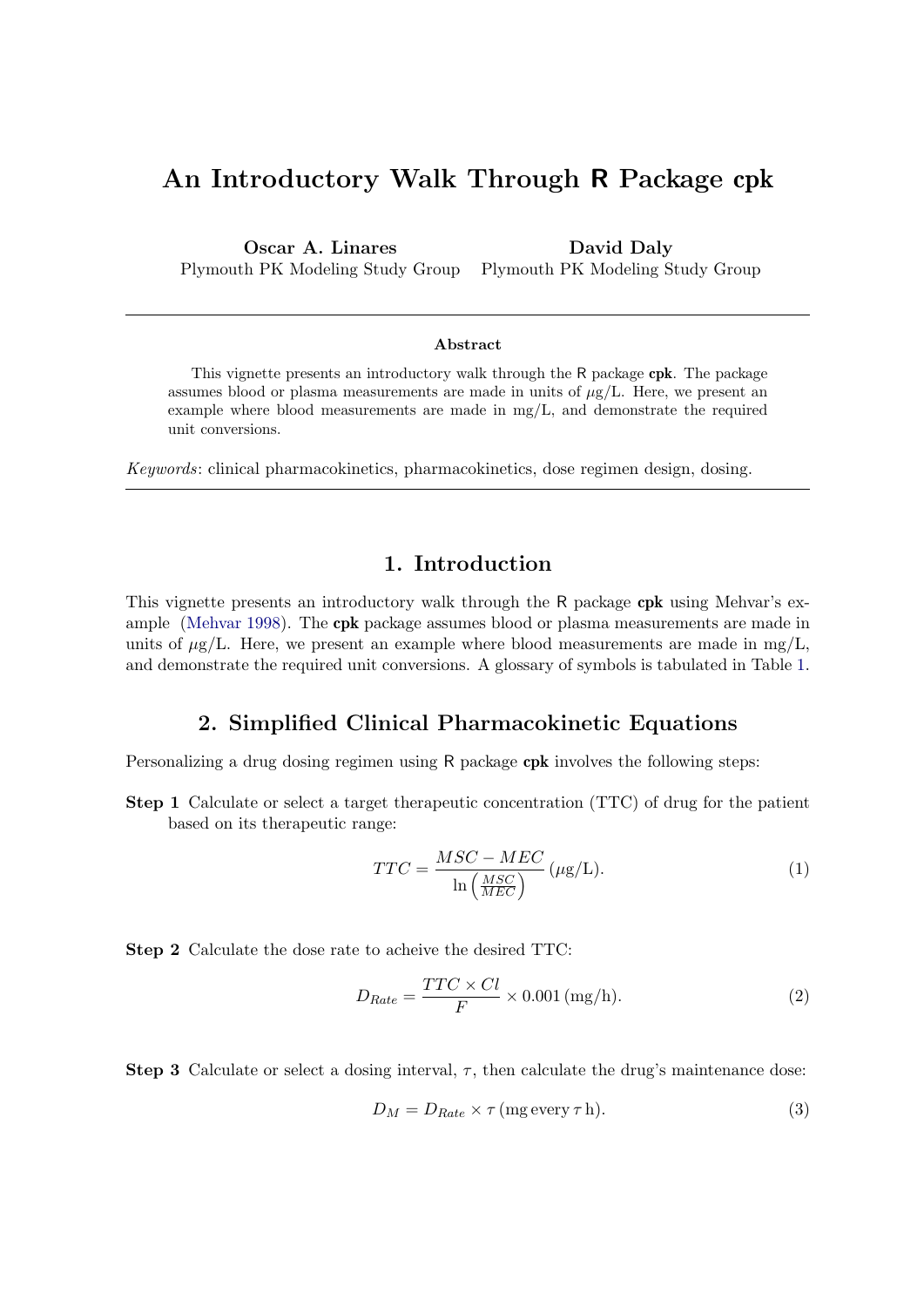# An Introductory Walk Through R Package cpk

Oscar A. Linares Plymouth PK Modeling Study Group David Daly Plymouth PK Modeling Study Group

#### Abstract

This vignette presents an introductory walk through the R package cpk. The package assumes blood or plasma measurements are made in units of  $\mu$ g/L. Here, we present an example where blood measurements are made in mg/L, and demonstrate the required unit conversions.

Keywords: clinical pharmacokinetics, pharmacokinetics, dose regimen design, dosing.

### 1. Introduction

This vignette presents an introductory walk through the R package cpk using Mehvar's example [\(Mehvar](#page-8-0) [1998\)](#page-8-0). The cpk package assumes blood or plasma measurements are made in units of  $\mu$ g/L. Here, we present an example where blood measurements are made in mg/L, and demonstrate the required unit conversions. A glossary of symbols is tabulated in Table [1.](#page-1-0)

### 2. Simplified Clinical Pharmacokinetic Equations

Personalizing a drug dosing regimen using R package cpk involves the following steps:

Step 1 Calculate or select a target therapeutic concentration (TTC) of drug for the patient based on its therapeutic range:

$$
TTC = \frac{MSC - MEC}{\ln\left(\frac{MSC}{MEC}\right)} (\mu g/L). \tag{1}
$$

Step 2 Calculate the dose rate to acheive the desired TTC:

$$
D_{Rate} = \frac{TTC \times Cl}{F} \times 0.001 \, (\text{mg/h}).\tag{2}
$$

Step 3 Calculate or select a dosing interval,  $\tau$ , then calculate the drug's maintenance dose:

$$
D_M = D_{Rate} \times \tau \, (\text{mg every } \tau \, \text{h}). \tag{3}
$$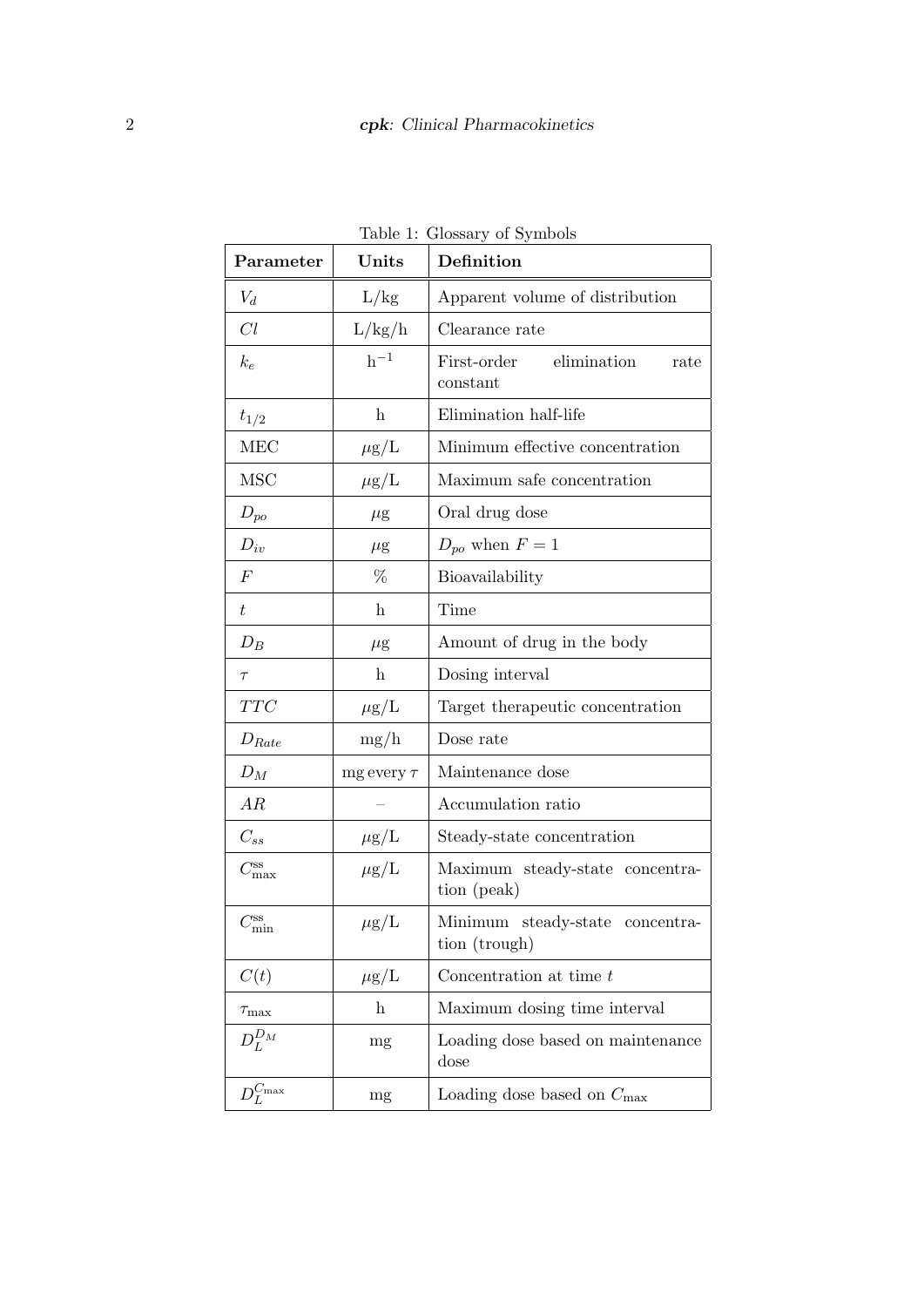| Parameter                                    | Units                     | Definition                                       |
|----------------------------------------------|---------------------------|--------------------------------------------------|
| $V_d$                                        | L/kg                      | Apparent volume of distribution                  |
| Cl                                           | L/kg/h                    | Clearance rate                                   |
| $k_e$                                        | $h^{-1}$                  | First-order<br>elimination<br>rate<br>constant   |
| $t_{1/2}$                                    | $\boldsymbol{\mathrm{h}}$ | Elimination half-life                            |
| MEC                                          | $\mu$ g/L                 | Minimum effective concentration                  |
| <b>MSC</b>                                   | $\mu$ g/L                 | Maximum safe concentration                       |
| $D_{po}$                                     | $\mu$ g                   | Oral drug dose                                   |
| $D_{iv}$                                     | $\mu$ g                   | $D_{po}$ when $F=1$                              |
| $\boldsymbol{F}$                             | %                         | Bioavailability                                  |
| t                                            | $\boldsymbol{\mathrm{h}}$ | Time                                             |
| $D_B$                                        | $\mu$ g                   | Amount of drug in the body                       |
| $\tau$                                       | $\boldsymbol{\mathrm{h}}$ | Dosing interval                                  |
| $TTC$                                        | $\mu$ g/L                 | Target therapeutic concentration                 |
| $D_{Rate}$                                   | mg/h                      | Dose rate                                        |
| $D_M$                                        | $mg$ every $\tau$         | Maintenance dose                                 |
| AR                                           |                           | Accumulation ratio                               |
| $C_{ss}$                                     | $\mu$ g/L                 | Steady-state concentration                       |
| $C_{\rm max}^{\rm ss}$                       | $\mu$ g/L                 | Maximum steady-state concentra-<br>tion (peak)   |
| $\frac{\gamma_{\rm{SS}}}{\gamma_{\rm{min}}}$ | $\mu$ g/L                 | Minimum steady-state concentra-<br>tion (trough) |
| C(t)                                         | $\mu$ g/L                 | Concentration at time $t$                        |
| $\tau_{\textrm{max}}$                        | $\mathbf{h}$              | Maximum dosing time interval                     |
| $D_L^{D_M}$                                  | mg                        | Loading dose based on maintenance<br>dose        |
| $D_L^{C_{\rm max}}$                          | mg                        | Loading dose based on $C_{\text{max}}$           |

<span id="page-1-0"></span>Table 1: Glossary of Symbols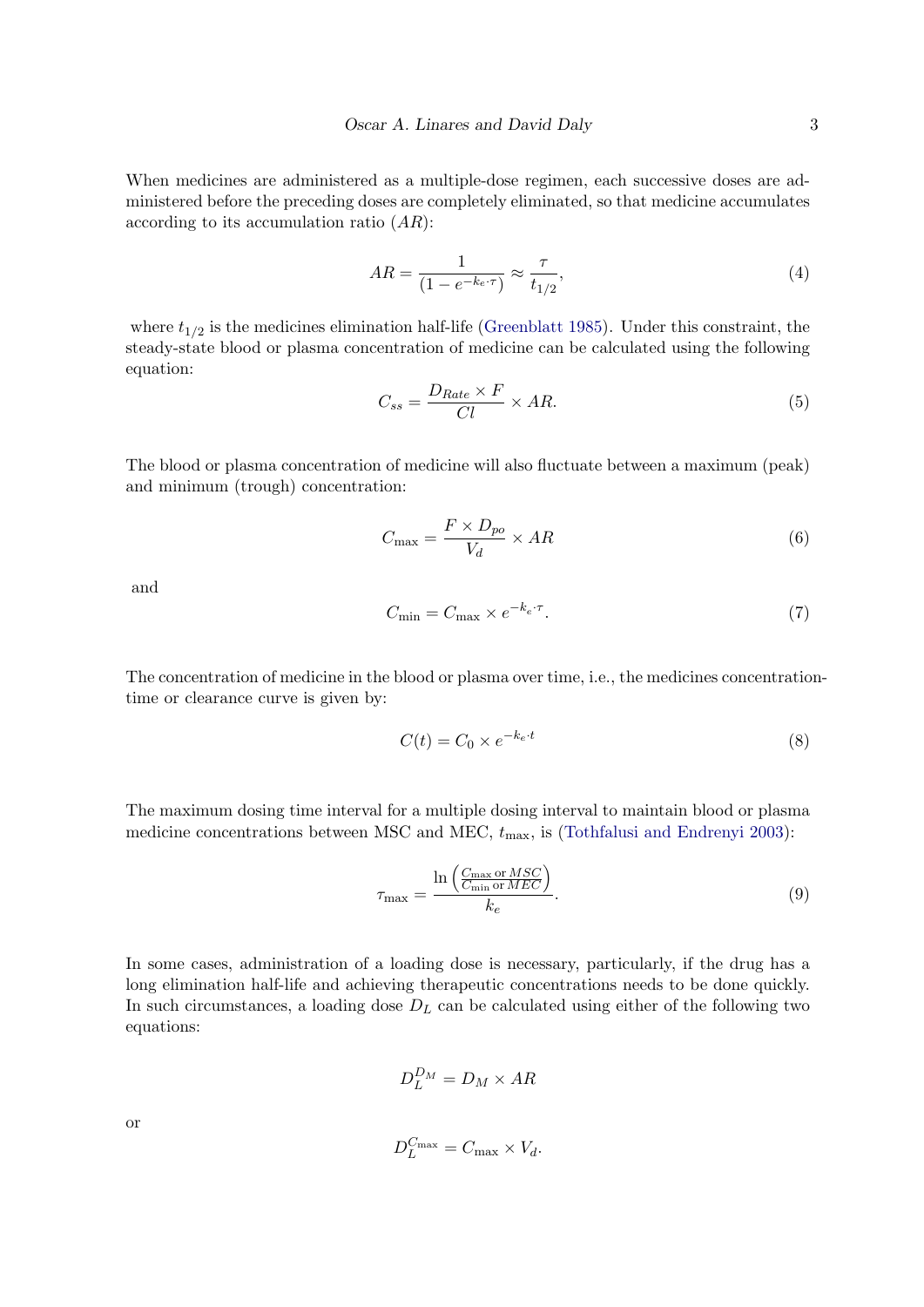When medicines are administered as a multiple-dose regimen, each successive doses are administered before the preceding doses are completely eliminated, so that medicine accumulates according to its accumulation ratio  $(AR)$ :

$$
AR = \frac{1}{(1 - e^{-k_e \cdot \tau})} \approx \frac{\tau}{t_{1/2}},\tag{4}
$$

where  $t_{1/2}$  is the medicines elimination half-life [\(Greenblatt](#page-8-1) [1985\)](#page-8-1). Under this constraint, the steady-state blood or plasma concentration of medicine can be calculated using the following equation:

$$
C_{ss} = \frac{D_{Rate} \times F}{Cl} \times AR.
$$
\n<sup>(5)</sup>

The blood or plasma concentration of medicine will also fluctuate between a maximum (peak) and minimum (trough) concentration:

$$
C_{\text{max}} = \frac{F \times D_{po}}{V_d} \times AR \tag{6}
$$

and

$$
C_{\min} = C_{\max} \times e^{-k_e \cdot \tau}.\tag{7}
$$

The concentration of medicine in the blood or plasma over time, i.e., the medicines concentrationtime or clearance curve is given by:

$$
C(t) = C_0 \times e^{-k_e \cdot t} \tag{8}
$$

The maximum dosing time interval for a multiple dosing interval to maintain blood or plasma medicine concentrations between MSC and MEC,  $t_{\text{max}}$ , is [\(Tothfalusi and Endrenyi](#page-8-2) [2003\)](#page-8-2):

$$
\tau_{\max} = \frac{\ln\left(\frac{C_{\max} \text{ or } MSC}{C_{\min} \text{ or } MEC}\right)}{k_e}.
$$
\n(9)

In some cases, administration of a loading dose is necessary, particularly, if the drug has a long elimination half-life and achieving therapeutic concentrations needs to be done quickly. In such circumstances, a loading dose  $D<sub>L</sub>$  can be calculated using either of the following two equations:

$$
D_L^{D_M} = D_M \times AR
$$

 $\overline{D}$ 

$$
D_L^{C_{\text{max}}} = C_{\text{max}} \times V_d.
$$

or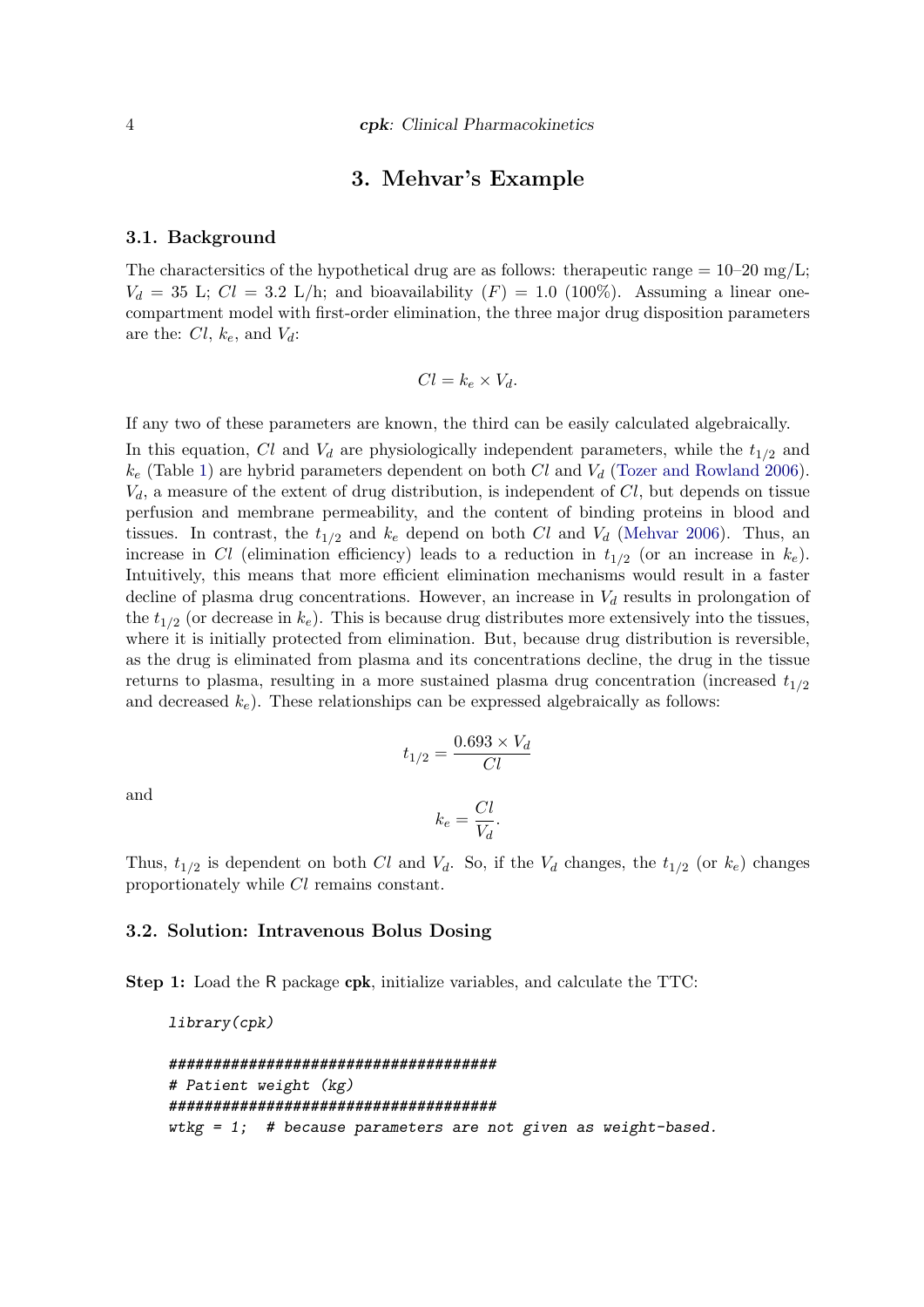### 3. Mehvar's Example

#### 3.1. Background

The charactersitics of the hypothetical drug are as follows: the range  $= 10$ – $20 \text{ mg/L}$ ;  $V_d = 35$  L;  $Cl = 3.2$  L/h; and bioavailability  $(F) = 1.0$  (100%). Assuming a linear onecompartment model with first-order elimination, the three major drug disposition parameters are the:  $Cl, k_e$ , and  $V_d$ :

$$
Cl = k_e \times V_d.
$$

If any two of these parameters are known, the third can be easily calculated algebraically.

In this equation, Cl and  $V_d$  are physiologically independent parameters, while the  $t_{1/2}$  and  $k_e$  (Table [1\)](#page-1-0) are hybrid parameters dependent on both Cl and  $V_d$  [\(Tozer and Rowland](#page-8-3) [2006\)](#page-8-3).  $V<sub>d</sub>$ , a measure of the extent of drug distribution, is independent of  $Cl$ , but depends on tissue perfusion and membrane permeability, and the content of binding proteins in blood and tissues. In contrast, the  $t_{1/2}$  and  $k_e$  depend on both Cl and  $V_d$  [\(Mehvar](#page-8-4) [2006\)](#page-8-4). Thus, an increase in Cl (elimination efficiency) leads to a reduction in  $t_{1/2}$  (or an increase in  $k_e$ ). Intuitively, this means that more efficient elimination mechanisms would result in a faster decline of plasma drug concentrations. However, an increase in  $V<sub>d</sub>$  results in prolongation of the  $t_{1/2}$  (or decrease in  $k_e$ ). This is because drug distributes more extensively into the tissues, where it is initially protected from elimination. But, because drug distribution is reversible, as the drug is eliminated from plasma and its concentrations decline, the drug in the tissue returns to plasma, resulting in a more sustained plasma drug concentration (increased  $t_{1/2}$ and decreased  $k_e$ ). These relationships can be expressed algebraically as follows:

$$
t_{1/2} = \frac{0.693 \times V_d}{Cl}
$$

 $k_e = \frac{Cl}{V}$  $\frac{\partial}{\partial V_d}$ .

and

Thus,  $t_{1/2}$  is dependent on both Cl and  $V_d$ . So, if the  $V_d$  changes, the  $t_{1/2}$  (or  $k_e$ ) changes proportionately while Cl remains constant.

#### 3.2. Solution: Intravenous Bolus Dosing

Step 1: Load the R package cpk, initialize variables, and calculate the TTC:

```
library(cpk)
```

```
#####################################
# Patient weight (kg)
#####################################
wtkg = 1; # because parameters are not given as weight-based.
```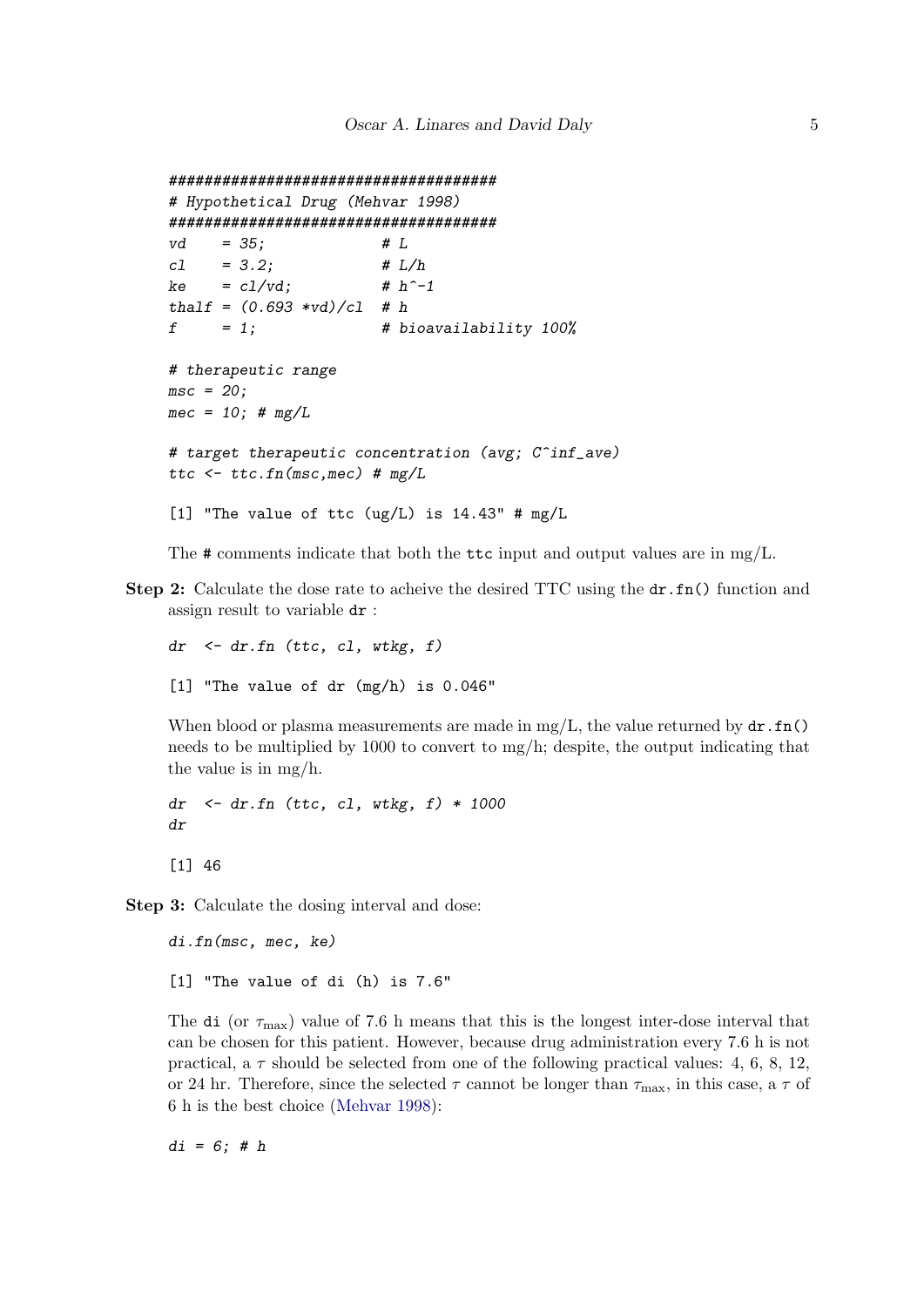```
#####################################
# Hypothetical Drug (Mehvar 1998)
#####################################
vd = 35; # L
c1 = 3.2; # L/h<br>ke = c1/vd; # h^2-1ke = c1/vd;
thalf = (0.693 \sqrt{vd})/c1 # h
f = 1; \qquad \qquad \# bioavailability 100%
# therapeutic range
msc = 20;mec = 10; # mg/L# target therapeutic concentration (avg; C^inf_ave)
ttc \leftarrow ttc.fn(msc,mec) # mg/L
[1] "The value of ttc (ug/L) is 14.43" # mg/L
```
The # comments indicate that both the ttc input and output values are in mg/L.

Step 2: Calculate the dose rate to acheive the desired TTC using the  $dr.fn()$  function and assign result to variable dr :

 $dr \leq dr$ .fn (ttc, cl, wtkg, f) [1] "The value of dr (mg/h) is 0.046"

When blood or plasma measurements are made in mg/L, the value returned by  $dr.fn()$ needs to be multiplied by 1000 to convert to mg/h; despite, the output indicating that the value is in mg/h.

```
dr <- dr.fn (ttc, cl, wtkg, f) * 1000
dr
[1] 46
```
Step 3: Calculate the dosing interval and dose:

```
di.fn(msc, mec, ke)
[1] "The value of di (h) is 7.6"
```
The di (or  $\tau_{\text{max}}$ ) value of 7.6 h means that this is the longest inter-dose interval that can be chosen for this patient. However, because drug administration every 7.6 h is not practical, a  $\tau$  should be selected from one of the following practical values: 4, 6, 8, 12, or 24 hr. Therefore, since the selected  $\tau$  cannot be longer than  $\tau_{\text{max}}$ , in this case, a  $\tau$  of 6 h is the best choice [\(Mehvar](#page-8-0) [1998\)](#page-8-0):

 $di = 6; # h$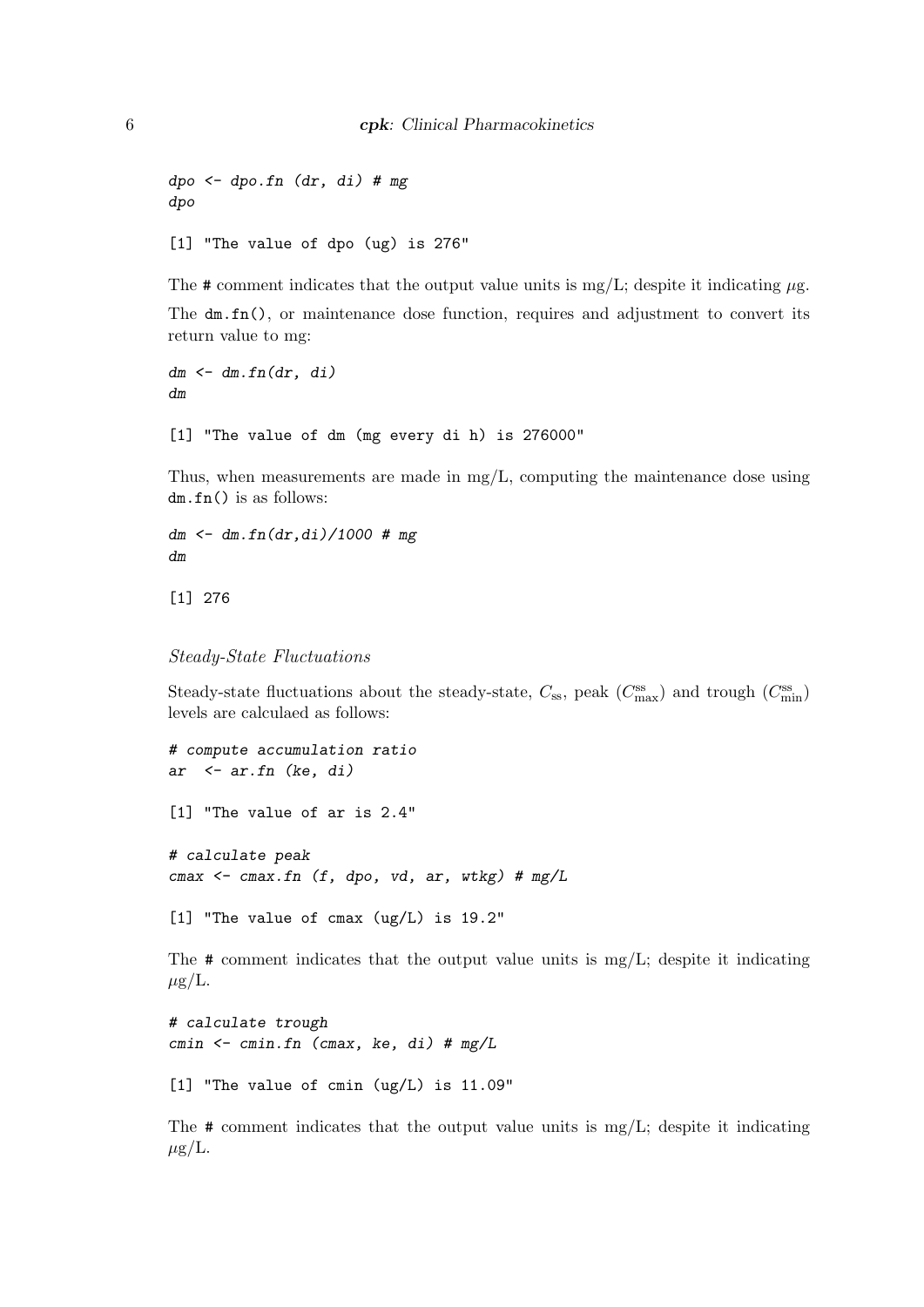```
dpo \leq - dpo.fn (dr, di) # mg
dpo
[1] "The value of dpo (ug) is 276"
```
The # comment indicates that the output value units is mg/L; despite it indicating  $\mu$ g. The dm.fn(), or maintenance dose function, requires and adjustment to convert its return value to mg:

```
dm \leftarrow dm.fn(dr, di)dm
```
[1] "The value of dm (mg every di h) is 276000"

Thus, when measurements are made in mg/L, computing the maintenance dose using dm.fn() is as follows:

```
dm < -dm.fn(dr,di)/1000 # mgdm
```
[1] 276

Steady-State Fluctuations

Steady-state fluctuations about the steady-state,  $C_{ss}$ , peak  $(C_{\text{max}}^{ss})$  and trough  $(C_{\text{min}}^{ss})$ levels are calculaed as follows:

```
# compute accumulation ratio
ar \leftarrow ar.fn (ke, di)
[1] "The value of ar is 2.4"
# calculate peak
cmax \leq cmax.fn (f, dpo, vd, ar, wtkg) # mg/L
```
[1] "The value of cmax (ug/L) is 19.2"

The  $\#$  comment indicates that the output value units is mg/L; despite it indicating  $\mu$ g/L.

```
# calculate trough
cmin <- cmin.fn (cmax, ke, di) # mg/L
```
[1] "The value of cmin (ug/L) is 11.09"

The  $\#$  comment indicates that the output value units is mg/L; despite it indicating  $\mu$ g/L.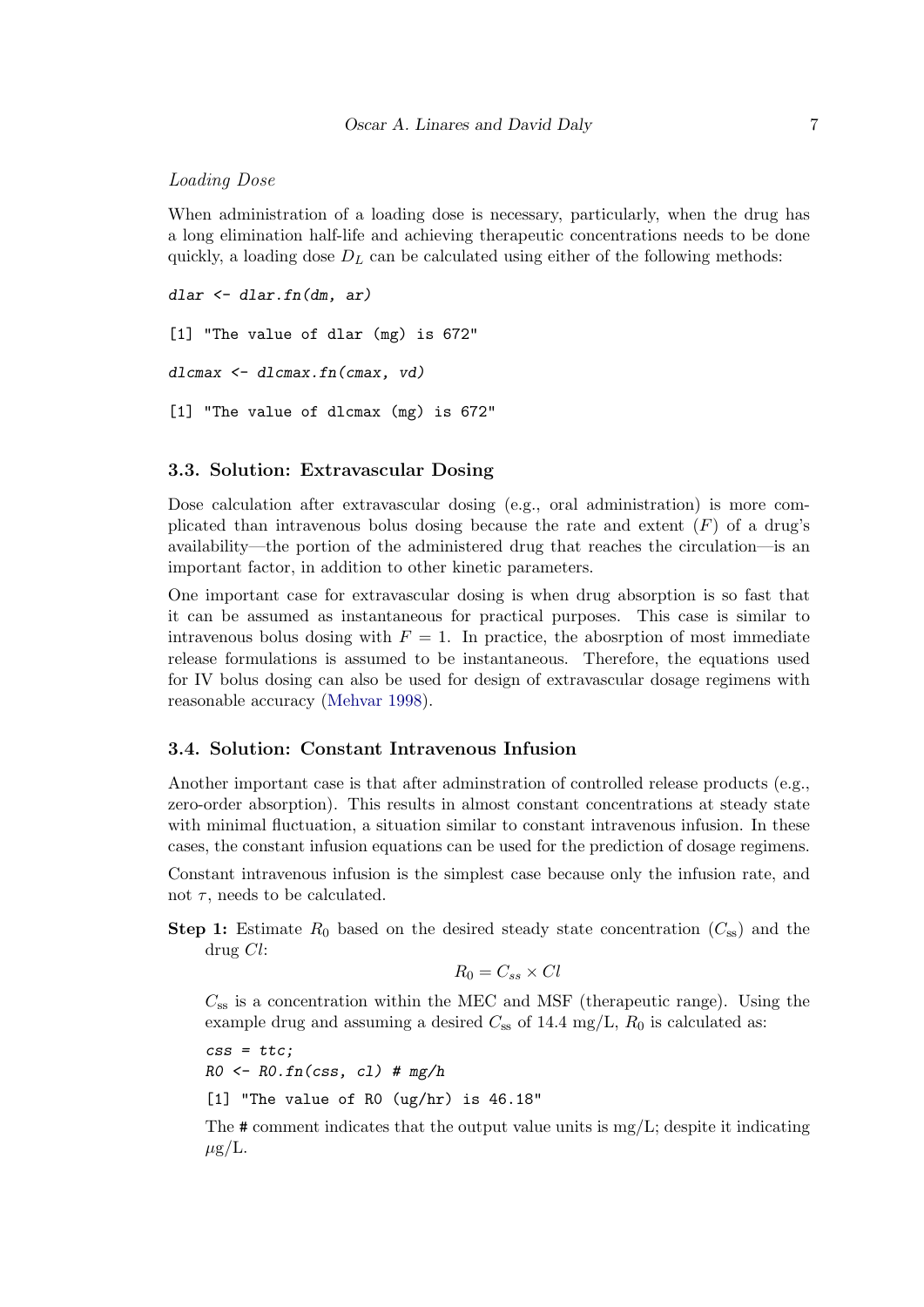#### Loading Dose

When administration of a loading dose is necessary, particularly, when the drug has a long elimination half-life and achieving therapeutic concentrations needs to be done quickly, a loading dose  $D<sub>L</sub>$  can be calculated using either of the following methods:

```
dlar <- dlar.fn(dm, ar)
[1] "The value of dlar (mg) is 672"
dlcmax <- dlcmax.fn(cmax, vd)
[1] "The value of dlcmax (mg) is 672"
```
#### 3.3. Solution: Extravascular Dosing

Dose calculation after extravascular dosing (e.g., oral administration) is more complicated than intravenous bolus dosing because the rate and extent  $(F)$  of a drug's availability—the portion of the administered drug that reaches the circulation—is an important factor, in addition to other kinetic parameters.

One important case for extravascular dosing is when drug absorption is so fast that it can be assumed as instantaneous for practical purposes. This case is similar to intravenous bolus dosing with  $F = 1$ . In practice, the abosrption of most immediate release formulations is assumed to be instantaneous. Therefore, the equations used for IV bolus dosing can also be used for design of extravascular dosage regimens with reasonable accuracy [\(Mehvar](#page-8-0) [1998\)](#page-8-0).

#### 3.4. Solution: Constant Intravenous Infusion

Another important case is that after adminstration of controlled release products (e.g., zero-order absorption). This results in almost constant concentrations at steady state with minimal fluctuation, a situation similar to constant intravenous infusion. In these cases, the constant infusion equations can be used for the prediction of dosage regimens.

Constant intravenous infusion is the simplest case because only the infusion rate, and not  $\tau$ , needs to be calculated.

**Step 1:** Estimate  $R_0$  based on the desired steady state concentration  $(C_{ss})$  and the drug Cl:

$$
R_0 = C_{ss} \times Cl
$$

 $C_{ss}$  is a concentration within the MEC and MSF (therapeutic range). Using the example drug and assuming a desired  $C_{ss}$  of 14.4 mg/L,  $R_0$  is calculated as:

 $\text{css} = \text{ttc}$ ;  $RO \leftarrow RO.fn(css, cl) \# mg/h$  $[1]$  "The value of R0 (ug/hr) is 46.18"

The  $\#$  comment indicates that the output value units is mg/L; despite it indicating  $\mu$ g/L.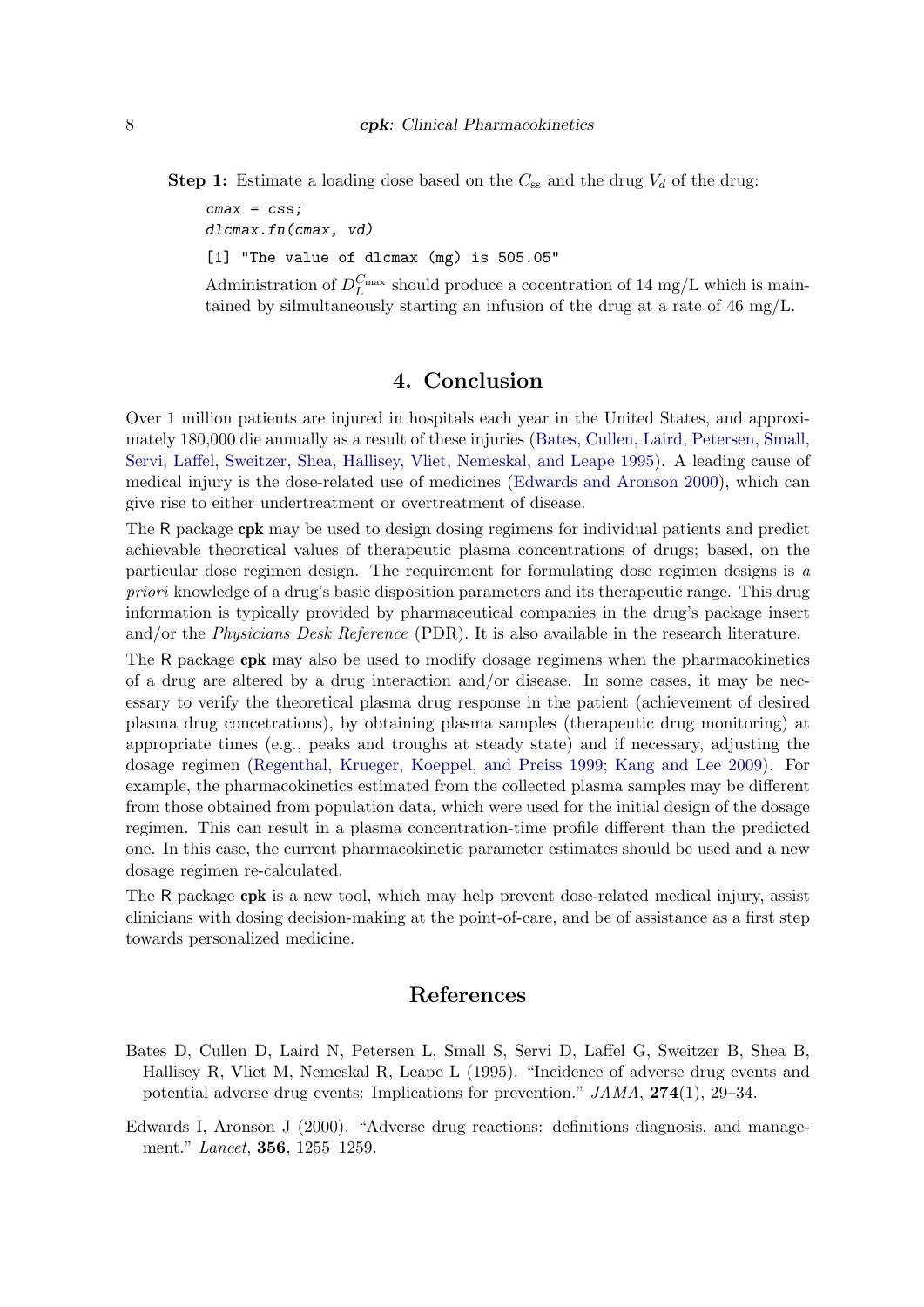**Step 1:** Estimate a loading dose based on the  $C_{ss}$  and the drug  $V_d$  of the drug:

 $cmax = css$ ; dlcmax.fn(cmax, vd)

[1] "The value of dlcmax (mg) is 505.05"

Administration of  $D_L^{C_{\text{max}}}$  should produce a cocentration of 14 mg/L which is maintained by silmultaneously starting an infusion of the drug at a rate of 46 mg/L.

### 4. Conclusion

Over 1 million patients are injured in hospitals each year in the United States, and approximately 180,000 die annually as a result of these injuries [\(Bates, Cullen, Laird, Petersen, Small,](#page-7-0) [Servi, Laffel, Sweitzer, Shea, Hallisey, Vliet, Nemeskal, and Leape](#page-7-0) [1995\)](#page-7-0). A leading cause of medical injury is the dose-related use of medicines [\(Edwards and Aronson](#page-7-1) [2000\)](#page-7-1), which can give rise to either undertreatment or overtreatment of disease.

The R package cpk may be used to design dosing regimens for individual patients and predict achievable theoretical values of therapeutic plasma concentrations of drugs; based, on the particular dose regimen design. The requirement for formulating dose regimen designs is  $a$ priori knowledge of a drug's basic disposition parameters and its therapeutic range. This drug information is typically provided by pharmaceutical companies in the drug's package insert and/or the *Physicians Desk Reference* (PDR). It is also available in the research literature.

The R package cpk may also be used to modify dosage regimens when the pharmacokinetics of a drug are altered by a drug interaction and/or disease. In some cases, it may be necessary to verify the theoretical plasma drug response in the patient (achievement of desired plasma drug concetrations), by obtaining plasma samples (therapeutic drug monitoring) at appropriate times (e.g., peaks and troughs at steady state) and if necessary, adjusting the dosage regimen [\(Regenthal, Krueger, Koeppel, and Preiss](#page-8-5) [1999;](#page-8-5) [Kang and Lee](#page-8-6) [2009\)](#page-8-6). For example, the pharmacokinetics estimated from the collected plasma samples may be different from those obtained from population data, which were used for the initial design of the dosage regimen. This can result in a plasma concentration-time profile different than the predicted one. In this case, the current pharmacokinetic parameter estimates should be used and a new dosage regimen re-calculated.

The R package cpk is a new tool, which may help prevent dose-related medical injury, assist clinicians with dosing decision-making at the point-of-care, and be of assistance as a first step towards personalized medicine.

## References

- <span id="page-7-0"></span>Bates D, Cullen D, Laird N, Petersen L, Small S, Servi D, Laffel G, Sweitzer B, Shea B, Hallisey R, Vliet M, Nemeskal R, Leape L (1995). "Incidence of adverse drug events and potential adverse drug events: Implications for prevention." JAMA, 274(1), 29–34.
- <span id="page-7-1"></span>Edwards I, Aronson J (2000). "Adverse drug reactions: definitions diagnosis, and management." Lancet, 356, 1255–1259.